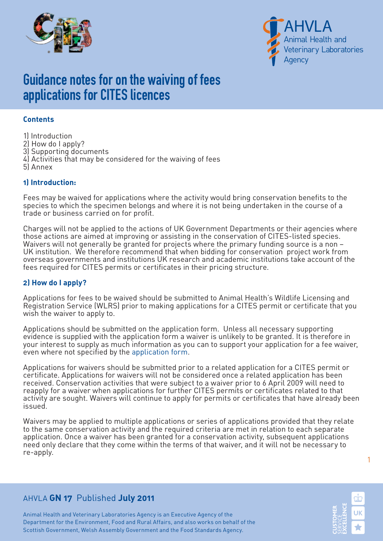



# Guidance notes for on the waiving of fees applications for CITES licences

### **Contents**

1) Introduction

- 2) How do I apply?
- 3) Supporting documents
- 4) Activities that may be considered for the waiving of fees
- 5) Annex

### **1) Introduction:**

Fees may be waived for applications where the activity would bring conservation benefits to the species to which the specimen belongs and where it is not being undertaken in the course of a trade or business carried on for profit.

Charges will not be applied to the actions of UK Government Departments or their agencies where those actions are aimed at improving or assisting in the conservation of CITES-listed species. Waivers will not generally be granted for projects where the primary funding source is a non -UK institution. We therefore recommend that when bidding for conservation project work from overseas governments and institutions UK research and academic institutions take account of the fees required for CITES permits or certificates in their pricing structure.

### **2) How do I apply?**

Applications for fees to be waived should be submitted to Animal Health's Wildlife Licensing and Registration Service (WLRS) prior to making applications for a CITES permit or certificate that you wish the waiver to apply to.

Applications should be submitted on the application form. Unless all necessary supporting evidence is supplied with the application form a waiver is unlikely to be granted. It is therefore in your interest to supply as much information as you can to support your application for a fee waiver, even where not specified by the [application form.](http://www.defra.gov.uk/ahvla-en/form/gn17/)

Applications for waivers should be submitted prior to a related application for a CITES permit or certificate. Applications for waivers will not be considered once a related application has been received. Conservation activities that were subject to a waiver prior to 6 April 2009 will need to reapply for a waiver when applications for further CITES permits or certificates related to that activity are sought. Waivers will continue to apply for permits or certificates that have already been issued.

Waivers may be applied to multiple applications or series of applications provided that they relate to the same conservation activity and the required criteria are met in relation to each separate application. Once a waiver has been granted for a conservation activity, subsequent applications need only declare that they come within the terms of that waiver, and it will not be necessary to re-apply.

### AHVLA **GN 17** Published **July 2011**

Animal Health and Veterinary Laboratories Agency is an Executive Agency of the Department for the Environment, Food and Rural Affairs, and also works on behalf of the Scottish Government, Welsh Assembly Government and the Food Standards Agency.